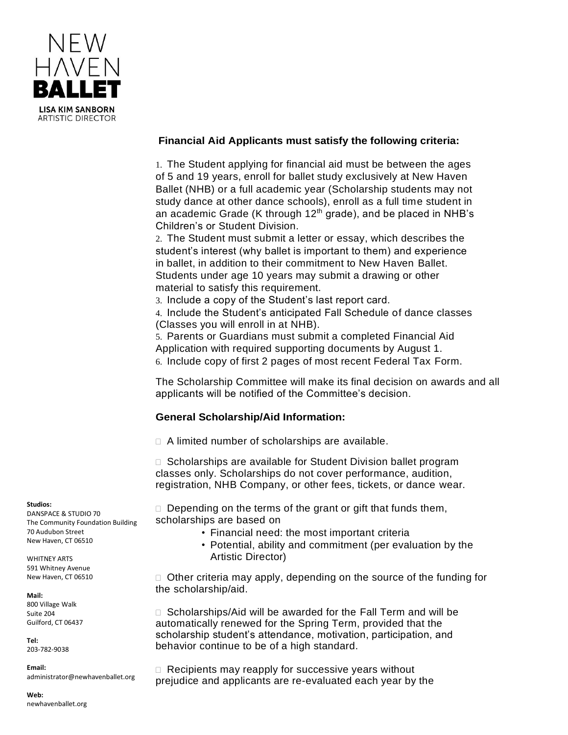

## **Financial Aid Applicants must satisfy the following criteria:**

1. The Student applying for financial aid must be between the ages of 5 and 19 years, enroll for ballet study exclusively at New Haven Ballet (NHB) or a full academic year (Scholarship students may not study dance at other dance schools), enroll as a full time student in an academic Grade (K through  $12<sup>th</sup>$  grade), and be placed in NHB's Children's or Student Division.

2. The Student must submit a letter or essay, which describes the student's interest (why ballet is important to them) and experience in ballet, in addition to their commitment to New Haven Ballet. Students under age 10 years may submit a drawing or other material to satisfy this requirement.

3. Include a copy of the Student's last report card.

4. Include the Student's anticipated Fall Schedule of dance classes (Classes you will enroll in at NHB).

5. Parents or Guardians must submit a completed Financial Aid Application with required supporting documents by August 1. 6. Include copy of first 2 pages of most recent Federal Tax Form.

The Scholarship Committee will make its final decision on awards and all applicants will be notified of the Committee's decision.

## **General Scholarship/Aid Information:**

□ A limited number of scholarships are available.

□ Scholarships are available for Student Division ballet program classes only. Scholarships do not cover performance, audition, registration, NHB Company, or other fees, tickets, or dance wear.

 $\Box$  Depending on the terms of the grant or gift that funds them, scholarships are based on

- Financial need: the most important criteria
- Potential, ability and commitment (per evaluation by the Artistic Director)

 $\Box$  Other criteria may apply, depending on the source of the funding for the scholarship/aid.

□ Scholarships/Aid will be awarded for the Fall Term and will be automatically renewed for the Spring Term, provided that the scholarship student's attendance, motivation, participation, and behavior continue to be of a high standard.

 $\Box$  Recipients may reapply for successive years without prejudice and applicants are re-evaluated each year by the

## **Studios:**

DANSPACE & STUDIO 70 The Community Foundation Building 70 Audubon Street New Haven, CT 06510

WHITNEY ARTS 591 Whitney Avenue New Haven, CT 06510

**Mail:** 800 Village Walk Suite 204 Guilford, CT 06437

**Tel:** 203-782-9038

**Email:**  administrator@newhavenballet.org

**Web:** newhavenballet.org